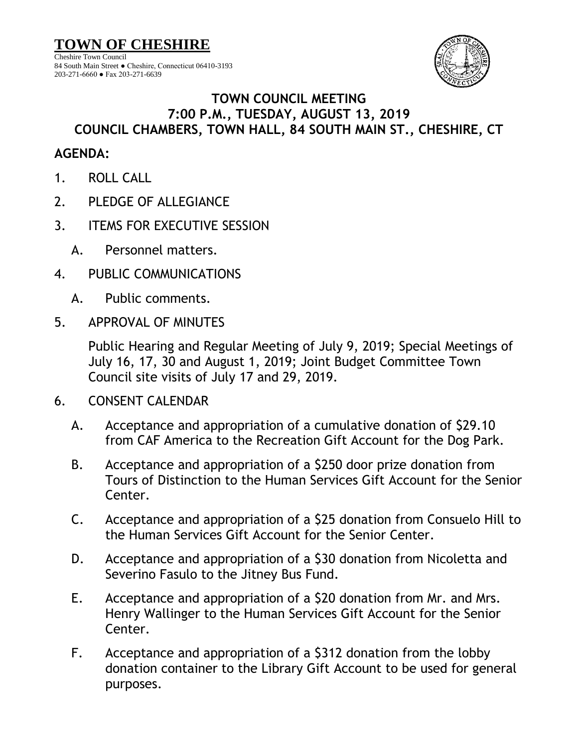**TOWN OF CHESHIRE** Cheshire Town Council 84 South Main Street ● Cheshire, Connecticut 06410-3193 203-271-6660 ● Fax 203-271-6639



## **TOWN COUNCIL MEETING 7:00 P.M., TUESDAY, AUGUST 13, 2019 COUNCIL CHAMBERS, TOWN HALL, 84 SOUTH MAIN ST., CHESHIRE, CT**

## **AGENDA:**

- 1. ROLL CALL
- 2. PLEDGE OF ALLEGIANCE
- 3. ITEMS FOR EXECUTIVE SESSION
	- A. Personnel matters.
- 4. PUBLIC COMMUNICATIONS
	- A. Public comments.
- 5. APPROVAL OF MINUTES

Public Hearing and Regular Meeting of July 9, 2019; Special Meetings of July 16, 17, 30 and August 1, 2019; Joint Budget Committee Town Council site visits of July 17 and 29, 2019.

- 6. CONSENT CALENDAR
	- A. Acceptance and appropriation of a cumulative donation of \$29.10 from CAF America to the Recreation Gift Account for the Dog Park.
	- B. Acceptance and appropriation of a \$250 door prize donation from Tours of Distinction to the Human Services Gift Account for the Senior Center.
	- C. Acceptance and appropriation of a \$25 donation from Consuelo Hill to the Human Services Gift Account for the Senior Center.
	- D. Acceptance and appropriation of a \$30 donation from Nicoletta and Severino Fasulo to the Jitney Bus Fund.
	- E. Acceptance and appropriation of a \$20 donation from Mr. and Mrs. Henry Wallinger to the Human Services Gift Account for the Senior Center.
	- F. Acceptance and appropriation of a \$312 donation from the lobby donation container to the Library Gift Account to be used for general purposes.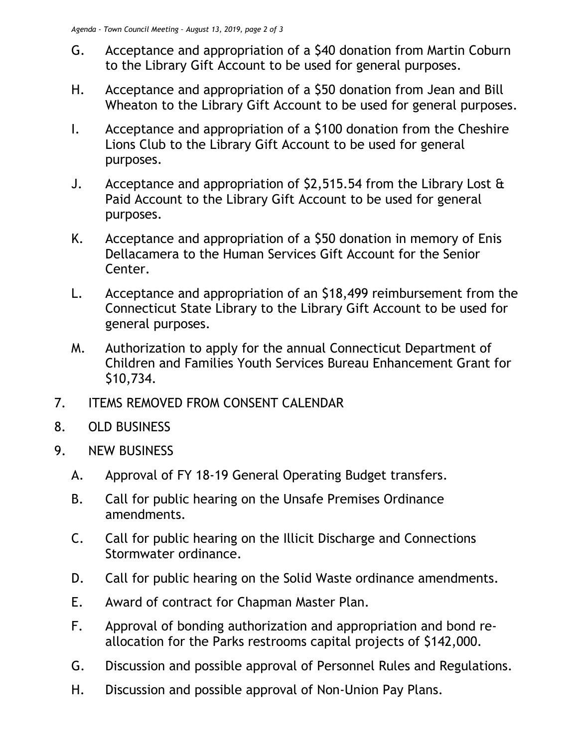- G. Acceptance and appropriation of a \$40 donation from Martin Coburn to the Library Gift Account to be used for general purposes.
- H. Acceptance and appropriation of a \$50 donation from Jean and Bill Wheaton to the Library Gift Account to be used for general purposes.
- I. Acceptance and appropriation of a \$100 donation from the Cheshire Lions Club to the Library Gift Account to be used for general purposes.
- J. Acceptance and appropriation of \$2,515.54 from the Library Lost & Paid Account to the Library Gift Account to be used for general purposes.
- K. Acceptance and appropriation of a \$50 donation in memory of Enis Dellacamera to the Human Services Gift Account for the Senior Center.
- L. Acceptance and appropriation of an \$18,499 reimbursement from the Connecticut State Library to the Library Gift Account to be used for general purposes.
- M. Authorization to apply for the annual Connecticut Department of Children and Families Youth Services Bureau Enhancement Grant for \$10,734.
- 7. ITEMS REMOVED FROM CONSENT CALENDAR
- 8. OLD BUSINESS
- 9. NEW BUSINESS
	- A. Approval of FY 18-19 General Operating Budget transfers.
	- B. Call for public hearing on the Unsafe Premises Ordinance amendments.
	- C. Call for public hearing on the Illicit Discharge and Connections Stormwater ordinance.
	- D. Call for public hearing on the Solid Waste ordinance amendments.
	- E. Award of contract for Chapman Master Plan.
	- F. Approval of bonding authorization and appropriation and bond reallocation for the Parks restrooms capital projects of \$142,000.
	- G. Discussion and possible approval of Personnel Rules and Regulations.
	- H. Discussion and possible approval of Non-Union Pay Plans.